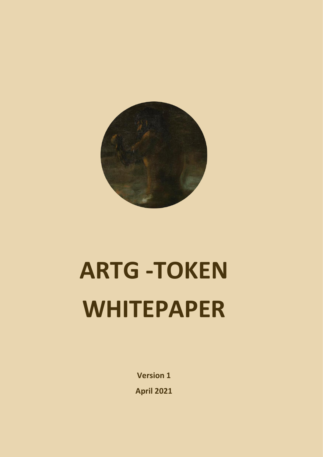

# **ARTG -TOKEN WHITEPAPER**

**Version 1 April 2021**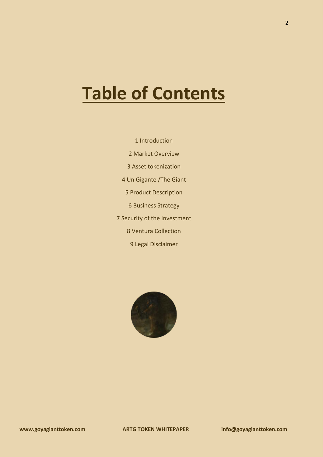#### **Table of Contents**

1 Introduction 2 Market Overview 3 Asset tokenization 4 Un Gigante /The Giant 5 Product Description 6 Business Strategy 7 Security of the Investment 8 Ventura Collection 9 Legal Disclaimer

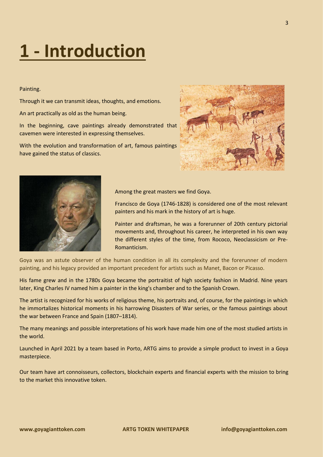### **1 - Introduction**

#### Painting.

Through it we can transmit ideas, thoughts, and emotions.

An art practically as old as the human being.

In the beginning, cave paintings already demonstrated that cavemen were interested in expressing themselves.

With the evolution and transformation of art, famous paintings have gained the status of classics.





Among the great masters we find Goya.

Francisco de Goya (1746-1828) is considered one of the most relevant painters and his mark in the history of art is huge.

Painter and draftsman, he was a forerunner of 20th century pictorial movements and, throughout his career, he interpreted in his own way the different styles of the time, from Rococo, Neoclassicism or Pre-Romanticism.

Goya was an astute observer of the human condition in all its complexity and the forerunner of modern painting, and his legacy provided an important precedent for artists such as Manet, Bacon or Picasso.

His fame grew and in the 1780s Goya became the portraitist of high society fashion in Madrid. Nine years later, King Charles IV named him a painter in the king's chamber and to the Spanish Crown.

The artist is recognized for his works of religious theme, his portraits and, of course, for the paintings in which he immortalizes historical moments in his harrowing Disasters of War series, or the famous paintings about the war between France and Spain (1807–1814).

The many meanings and possible interpretations of his work have made him one of the most studied artists in the world.

Launched in April 2021 by a team based in Porto, ARTG aims to provide a simple product to invest in a Goya masterpiece.

Our team have art connoisseurs, collectors, blockchain experts and financial experts with the mission to bring to the market this innovative token.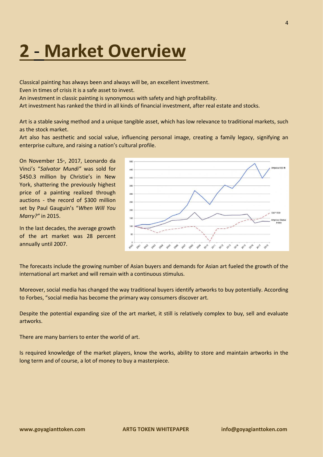#### **2** - **Market Overview**

Classical painting has always been and always will be, an excellent investment.

Even in times of crisis it is a safe asset to invest.

An investment in classic painting is synonymous with safety and high profitability.

Art investment has ranked the third in all kinds of financial investment, after real estate and stocks.

Art is a stable saving method and a unique tangible asset, which has low relevance to traditional markets, such as the stock market.

Art also has aesthetic and social value, influencing personal image, creating a family legacy, signifying an enterprise culture, and raising a nation's cultural profile.

On November 15<sup>th</sup>, 2017, Leonardo da Vinci's "*Salvator Mundi"* was sold for \$450.3 million by Christie's in New York, shattering the previously highest price of a painting realized through auctions - the record of \$300 million set by Paul Gauguin's "*When Will You Marry?"* in 2015.

In the last decades, the average growth of the art market was 28 percent annually until 2007.



The forecasts include the growing number of Asian buyers and demands for Asian art fueled the growth of the international art market and will remain with a continuous stimulus.

Moreover, social media has changed the way traditional buyers identify artworks to buy potentially. According to Forbes, "social media has become the primary way consumers discover art.

Despite the potential expanding size of the art market, it still is relatively complex to buy, sell and evaluate artworks.

There are many barriers to enter the world of art.

Is required knowledge of the market players, know the works, ability to store and maintain artworks in the long term and of course, a lot of money to buy a masterpiece.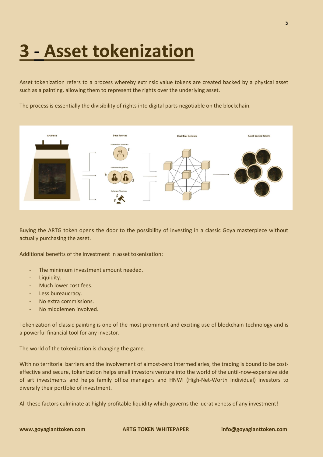### **3** - **Asset tokenization**

Asset tokenization refers to a process whereby extrinsic value tokens are created backed by a physical asset such as a painting, allowing them to represent the rights over the underlying asset.

The process is essentially the divisibility of rights into digital parts negotiable on the blockchain.



Buying the ARTG token opens the door to the possibility of investing in a classic Goya masterpiece without actually purchasing the asset.

Additional benefits of the investment in asset tokenization:

- The minimum investment amount needed.
- Liquidity.
- Much lower cost fees.
- Less bureaucracy.
- No extra commissions.
- No middlemen involved.

Tokenization of classic painting is one of the most prominent and exciting use of blockchain technology and is a powerful financial tool for any investor.

The world of the tokenization is changing the game.

With no territorial barriers and the involvement of almost-zero intermediaries, the trading is bound to be costeffective and secure, tokenization helps small investors venture into the world of the until-now-expensive side of art investments and helps family office managers and HNWI (High-Net-Worth Individual) investors to diversify their portfolio of investment.

All these factors culminate at highly profitable liquidity which governs the lucrativeness of any investment!

**www.goyagianttoken.com ARTG TOKEN WHITEPAPER info@goyagianttoken.com**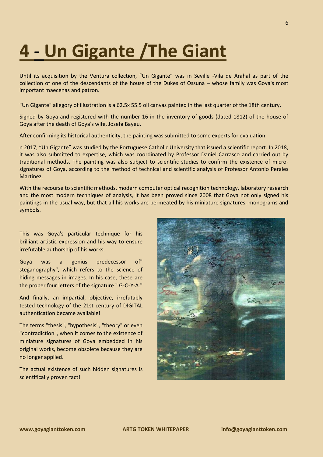#### **4** - **Un Gigante /The Giant**

Until its acquisition by the Ventura collection, "Un Gigante" was in Seville -Vila de Arahal as part of the collection of one of the descendants of the house of the Dukes of Ossuna – whose family was Goya's most important maecenas and patron.

"Un Gigante" allegory of illustration is a 62.5x 55.5 oil canvas painted in the last quarter of the 18th century.

Signed by Goya and registered with the number 16 in the inventory of goods (dated 1812) of the house of Goya after the death of Goya's wife, Josefa Bayeu.

After confirming its historical authenticity, the painting was submitted to some experts for evaluation.

n 2017, "Un Gigante" was studied by the Portuguese Catholic University that issued a scientific report. In 2018, it was also submitted to expertise, which was coordinated by Professor Daniel Carrasco and carried out by traditional methods. The painting was also subject to scientific studies to confirm the existence of microsignatures of Goya, according to the method of technical and scientific analysis of Professor Antonio Perales Martinez.

With the recourse to scientific methods, modern computer optical recognition technology, laboratory research and the most modern techniques of analysis, it has been proved since 2008 that Goya not only signed his paintings in the usual way, but that all his works are permeated by his miniature signatures, monograms and symbols.

This was Goya's particular technique for his brilliant artistic expression and his way to ensure irrefutable authorship of his works.

Goya was a genius predecessor of" steganography", which refers to the science of hiding messages in images. In his case, these are the proper four letters of the signature " G-O-Y-A."

And finally, an impartial, objective, irrefutably tested technology of the 21st century of DIGITAL authentication became available!

The terms "thesis", "hypothesis", "theory" or even "contradiction", when it comes to the existence of miniature signatures of Goya embedded in his original works, become obsolete because they are no longer applied.

The actual existence of such hidden signatures is scientifically proven fact!

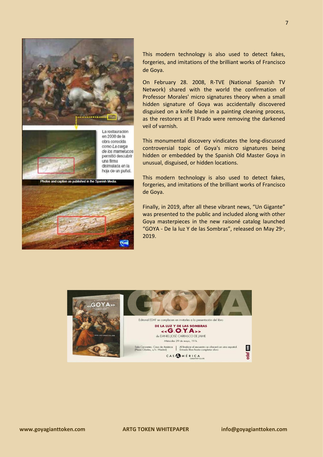

This modern technology is also used to detect fakes, forgeries, and imitations of the brilliant works of Francisco de Goya.

On February 28. 2008, R-TVE (National Spanish TV Network) shared with the world the confirmation of Professor Morales' micro signatures theory when a small hidden signature of Goya was accidentally discovered disguised on a knife blade in a painting cleaning process, as the restorers at El Prado were removing the darkened veil of varnish.

This monumental discovery vindicates the long-discussed controversial topic of Goya's micro signatures being hidden or embedded by the Spanish Old Master Goya in unusual, disguised, or hidden locations.

This modern technology is also used to detect fakes, forgeries, and imitations of the brilliant works of Francisco de Goya.

Finally, in 2019, after all these vibrant news, "Un Gigante" was presented to the public and included along with other Goya masterpieces in the new raisoné catalog launched "GOYA - De la luz Y de las Sombras", released on May 29<sup>th</sup>, 2019.

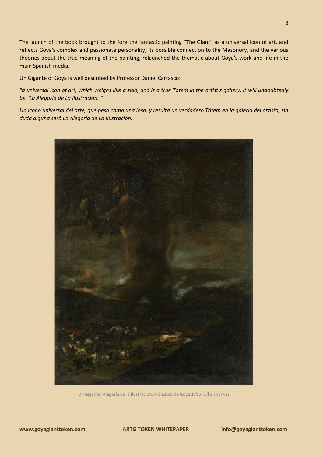The launch of the book brought to the fore the fantastic painting "The Giant" as a universal icon of art, and reflects Goya's complex and passionate personality, its possible connection to the Masonory, and the various theories about the true meaning of the painting, relaunched the thematic about Goya's work and life in the main Spanish media.

Un Gigante of Goya is well described by Professor Daniel Carrasco:

*"a universal Icon of art, which weighs like a slab, and is a true Totem in the artist's gallery, it will undoubtedly be "La Alegoría de La Ilustración. "*

*Un icono universal del arte, que pesa como una losa, y resulta un verdadero Tótem en la galería del artista, sin duda alguna será La Alegoría de La Ilustración.*



Un Gigante. Alegoría de la Ilustracion. Francisco de Goya 1785. Oil on canvas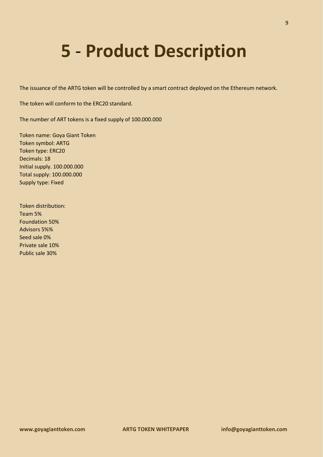#### **5** - **Product Description**

The issuance of the ARTG token will be controlled by a smart contract deployed on the Ethereum network.

The token will conform to the ERC20 standard.

The number of ART tokens is a fixed supply of 100.000.000

Token name: Goya Giant Token Token symbol: ARTG Token type: ERC20 Decimals: 18 Initial supply. 100.000.000 Total supply: 100.000.000 Supply type: Fixed

Token distribution: Team 5% Foundation 50% Advisors 5%% Seed sale 0% Private sale 10% Public sale 30%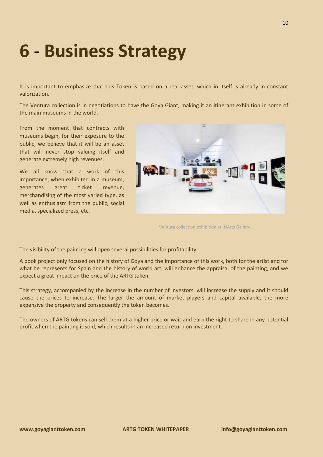#### **6** - **Business Strategy**

It is important to emphasize that this Token is based on a real asset, which in itself is already in constant valorization.

The Ventura collection is in negotiations to have the Goya Giant, making it an itinerant exhibition in some of the main museums in the world.

From the moment that contracts with museums begin, for their exposure to the public, we believe that it will be an asset that will never stop valuing itself and generate extremely high revenues.

We all know that a work of this importance, when exhibited in a museum, generates great ticket revenue, merchandising of the most varied type, as well as enthusiasm from the public, social media, specialized press, etc.



Ventura collection exhibition at INArts Gallery

The visibility of the painting will open several possibilities for profitability.

A book project only focused on the history of Goya and the importance of this work, both for the artist and for what he represents for Spain and the history of world art, will enhance the appraisal of the painting, and we expect a great impact on the price of the ARTG token.

This strategy, accompanied by the increase in the number of investors, will increase the supply and it should cause the prices to increase. The larger the amount of market players and capital available, the more expensive the property and consequently the token becomes.

The owners of ARTG tokens can sell them at a higher price or wait and earn the right to share in any potential profit when the painting is sold, which results in an increased return on investment.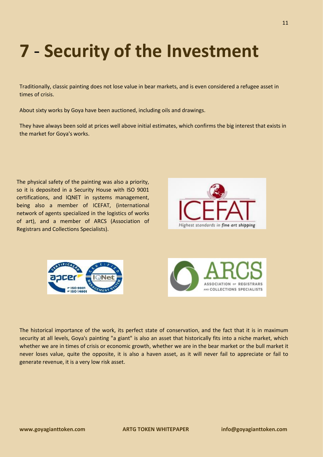## **7** - **Security of the Investment**

Traditionally, classic painting does not lose value in bear markets, and is even considered a refugee asset in times of crisis.

About sixty works by Goya have been auctioned, including oils and drawings.

They have always been sold at prices well above initial estimates, which confirms the big interest that exists in the market for Goya's works.

The physical safety of the painting was also a priority, so it is deposited in a Security House with ISO 9001 certifications, and IQNET in systems management, being also a member of ICEFAT, (international network of agents specialized in the logistics of works of art), and a member of ARCS (Association of Registrars and Collections Specialists).







The historical importance of the work, its perfect state of conservation, and the fact that it is in maximum security at all levels, Goya's painting "a giant" is also an asset that historically fits into a niche market, which whether we are in times of crisis or economic growth, whether we are in the bear market or the bull market it never loses value, quite the opposite, it is also a haven asset, as it will never fail to appreciate or fail to generate revenue, it is a very low risk asset.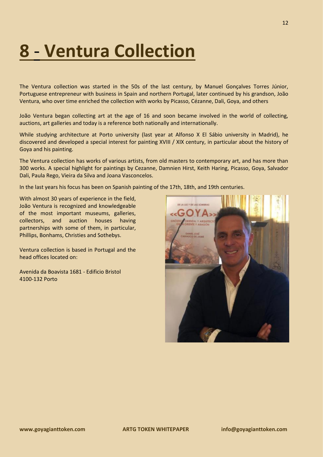#### **8** - **Ventura Collection**

The Ventura collection was started in the 50s of the last century, by Manuel Gonçalves Torres Júnior, Portuguese entrepreneur with business in Spain and northern Portugal, later continued by his grandson, João Ventura, who over time enriched the collection with works by Picasso, Cézanne, Dali, Goya, and others

João Ventura began collecting art at the age of 16 and soon became involved in the world of collecting, auctions, art galleries and today is a reference both nationally and internationally.

While studying architecture at Porto university (last year at Alfonso X El Sábio university in Madrid), he discovered and developed a special interest for painting XVIII / XIX century, in particular about the history of Goya and his painting.

The Ventura collection has works of various artists, from old masters to contemporary art, and has more than 300 works. A special highlight for paintings by Cezanne, Damnien Hirst, Keith Haring, Picasso, Goya, Salvador Dali, Paula Rego, Vieira da Silva and Joana Vasconcelos.

In the last years his focus has been on Spanish painting of the 17th, 18th, and 19th centuries.

With almost 30 years of experience in the field, João Ventura is recognized and knowledgeable of the most important museums, galleries, collectors, and auction houses having partnerships with some of them, in particular, Phillips, Bonhams, Christies and Sothebys.

Ventura collection is based in Portugal and the head offices located on:

Avenida da Boavista 1681 - Edificio Bristol 4100-132 Porto

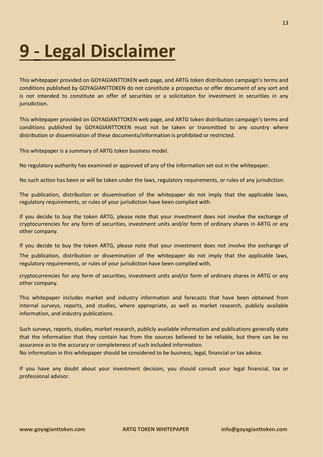### **9** - **Legal Disclaimer**

This whitepaper provided on GOYAGIANTTOKEN web page, and ARTG token distribution campaign's terms and conditions published by GOYAGIANTTOKEN do not constitute a prospectus or offer document of any sort and is not intended to constitute an offer of securities or a solicitation for investment in securities in any jurisdiction.

This whitepaper provided on GOYAGIANTTOKEN web page, and ARTG token distribution campaign's terms and conditions published by GOYAGIANTTOKEN must not be taken or transmitted to any country where distribution or dissemination of these documents/information is prohibited or restricted.

This whitepaper is a summary of ARTG token business model.

No regulatory authority has examined or approved of any of the information set out in the whitepaper.

No such action has been or will be taken under the laws, regulatory requirements, or rules of any jurisdiction.

The publication, distribution or dissemination of the whitepaper do not imply that the applicable laws, regulatory requirements, or rules of your jurisdiction have been complied with.

If you decide to buy the token ARTG, please note that your investment does not involve the exchange of cryptocurrencies for any form of securities, investment units and/or form of ordinary shares in ARTG or any other company.

If you decide to buy the token ARTG, please note that your investment does not involve the exchange of

The publication, distribution or dissemination of the whitepaper do not imply that the applicable laws, regulatory requirements, or rules of your jurisdiction have been complied with.

cryptocurrencies for any form of securities, investment units and/or form of ordinary shares in ARTG or any other company.

This whitepaper includes market and industry information and forecasts that have been obtained from internal surveys, reports, and studies, where appropriate, as well as market research, publicly available information, and industry publications.

Such surveys, reports, studies, market research, publicly available information and publications generally state that the information that they contain has from the sources believed to be reliable, but there can be no assurance as to the accuracy or completeness of such included information.

No information in this whitepaper should be considered to be business, legal, financial or tax advice.

If you have any doubt about your investment decision, you should consult your legal financial, tax or professional advisor.